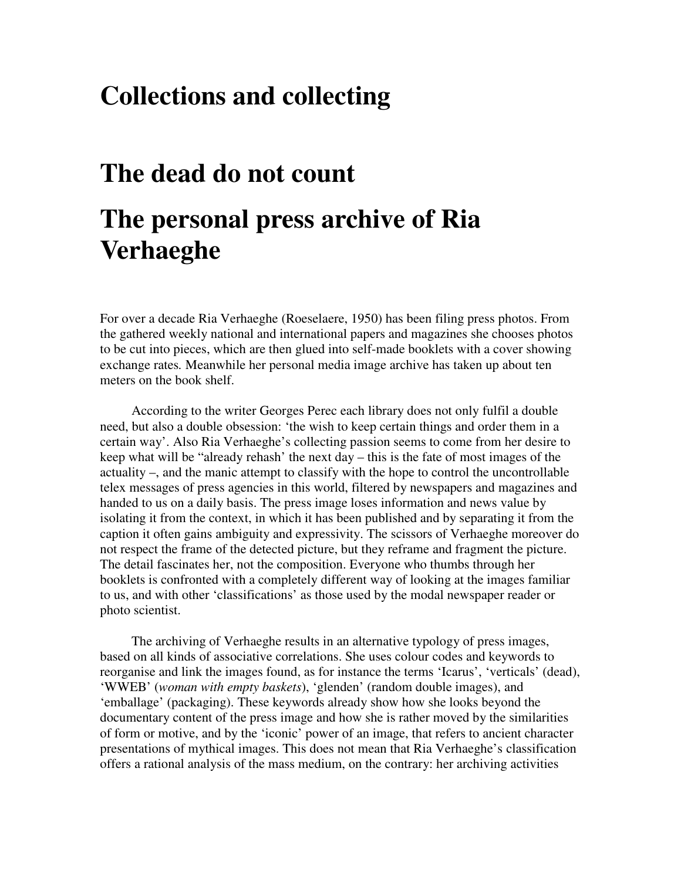## **Collections and collecting**

## **The dead do not count**

## **The personal press archive of Ria Verhaeghe**

For over a decade Ria Verhaeghe (Roeselaere, 1950) has been filing press photos. From the gathered weekly national and international papers and magazines she chooses photos to be cut into pieces, which are then glued into self-made booklets with a cover showing exchange rates*.* Meanwhile her personal media image archive has taken up about ten meters on the book shelf.

According to the writer Georges Perec each library does not only fulfil a double need, but also a double obsession: 'the wish to keep certain things and order them in a certain way'. Also Ria Verhaeghe's collecting passion seems to come from her desire to keep what will be "already rehash' the next day – this is the fate of most images of the actuality –, and the manic attempt to classify with the hope to control the uncontrollable telex messages of press agencies in this world, filtered by newspapers and magazines and handed to us on a daily basis. The press image loses information and news value by isolating it from the context, in which it has been published and by separating it from the caption it often gains ambiguity and expressivity. The scissors of Verhaeghe moreover do not respect the frame of the detected picture, but they reframe and fragment the picture. The detail fascinates her, not the composition. Everyone who thumbs through her booklets is confronted with a completely different way of looking at the images familiar to us, and with other 'classifications' as those used by the modal newspaper reader or photo scientist.

The archiving of Verhaeghe results in an alternative typology of press images, based on all kinds of associative correlations. She uses colour codes and keywords to reorganise and link the images found, as for instance the terms 'Icarus', 'verticals' (dead), 'WWEB' (*woman with empty baskets*), 'glenden' (random double images), and 'emballage' (packaging). These keywords already show how she looks beyond the documentary content of the press image and how she is rather moved by the similarities of form or motive, and by the 'iconic' power of an image, that refers to ancient character presentations of mythical images. This does not mean that Ria Verhaeghe's classification offers a rational analysis of the mass medium, on the contrary: her archiving activities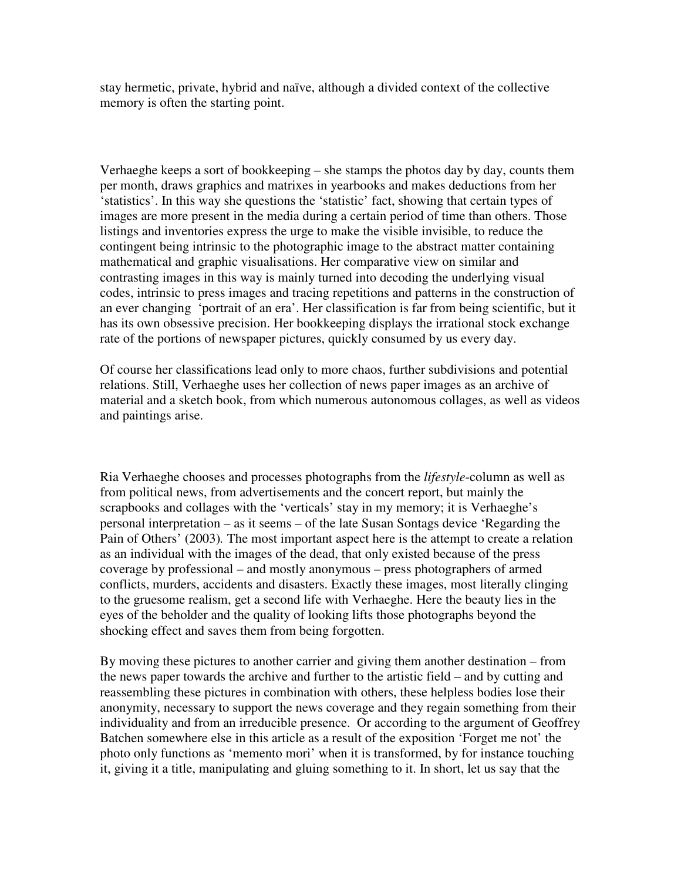stay hermetic, private, hybrid and naïve, although a divided context of the collective memory is often the starting point.

Verhaeghe keeps a sort of bookkeeping – she stamps the photos day by day, counts them per month, draws graphics and matrixes in yearbooks and makes deductions from her 'statistics'. In this way she questions the 'statistic' fact, showing that certain types of images are more present in the media during a certain period of time than others. Those listings and inventories express the urge to make the visible invisible, to reduce the contingent being intrinsic to the photographic image to the abstract matter containing mathematical and graphic visualisations. Her comparative view on similar and contrasting images in this way is mainly turned into decoding the underlying visual codes, intrinsic to press images and tracing repetitions and patterns in the construction of an ever changing 'portrait of an era'. Her classification is far from being scientific, but it has its own obsessive precision. Her bookkeeping displays the irrational stock exchange rate of the portions of newspaper pictures, quickly consumed by us every day.

Of course her classifications lead only to more chaos, further subdivisions and potential relations. Still, Verhaeghe uses her collection of news paper images as an archive of material and a sketch book, from which numerous autonomous collages, as well as videos and paintings arise.

Ria Verhaeghe chooses and processes photographs from the *lifestyle*-column as well as from political news, from advertisements and the concert report, but mainly the scrapbooks and collages with the 'verticals' stay in my memory; it is Verhaeghe's personal interpretation – as it seems – of the late Susan Sontags device 'Regarding the Pain of Others' (2003)*.* The most important aspect here is the attempt to create a relation as an individual with the images of the dead, that only existed because of the press coverage by professional – and mostly anonymous – press photographers of armed conflicts, murders, accidents and disasters. Exactly these images, most literally clinging to the gruesome realism, get a second life with Verhaeghe. Here the beauty lies in the eyes of the beholder and the quality of looking lifts those photographs beyond the shocking effect and saves them from being forgotten.

By moving these pictures to another carrier and giving them another destination – from the news paper towards the archive and further to the artistic field – and by cutting and reassembling these pictures in combination with others, these helpless bodies lose their anonymity, necessary to support the news coverage and they regain something from their individuality and from an irreducible presence. Or according to the argument of Geoffrey Batchen somewhere else in this article as a result of the exposition 'Forget me not' the photo only functions as 'memento mori' when it is transformed, by for instance touching it, giving it a title, manipulating and gluing something to it. In short, let us say that the